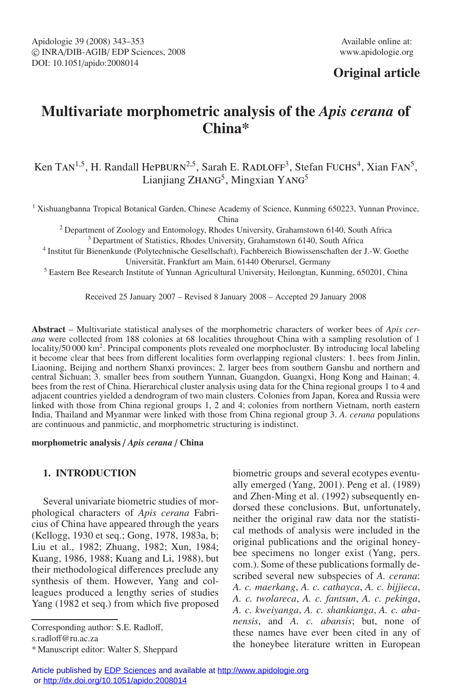# **Original article**

# **Multivariate morphometric analysis of the** *Apis cerana* **of China\***

Ken TAN<sup>1,5</sup>, H. Randall Hepburn<sup>2,5</sup>, Sarah E. RADLOFF<sup>3</sup>, Stefan Fuchs<sup>4</sup>, Xian FAN<sup>5</sup>, Lianjiang ZHANG<sup>5</sup>, Mingxian YANG<sup>5</sup>

<sup>1</sup> Xishuangbanna Tropical Botanical Garden, Chinese Academy of Science, Kunming 650223, Yunnan Province, China

<sup>2</sup> Department of Zoology and Entomology, Rhodes University, Grahamstown 6140, South Africa

<sup>3</sup> Department of Statistics, Rhodes University, Grahamstown 6140, South Africa

<sup>4</sup> Institut für Bienenkunde (Polytechnische Gesellschaft), Fachbereich Biowissenschaften der J.-W. Goethe Universität, Frankfurt am Main, 61440 Oberursel, Germany

<sup>5</sup> Eastern Bee Research Institute of Yunnan Agricultural University, Heilongtan, Kunming, 650201, China

Received 25 January 2007 – Revised 8 January 2008 – Accepted 29 January 2008

**Abstract** – Multivariate statistical analyses of the morphometric characters of worker bees of *Apis cerana* were collected from 188 colonies at 68 localities throughout China with a sampling resolution of 1 locality/50 000 km<sup>2</sup>. Principal components plots revealed one morphocluster. By introducing local labeling it become clear that bees from different localities form overlapping regional clusters: 1. bees from Jinlin, Liaoning, Beijing and northern Shanxi provinces; 2. larger bees from southern Ganshu and northern and central Sichuan; 3. smaller bees from southern Yunnan, Guangdon, Guangxi, Hong Kong and Hainan; 4. bees from the rest of China. Hierarchical cluster analysis using data for the China regional groups 1 to 4 and adjacent countries yielded a dendrogram of two main clusters. Colonies from Japan, Korea and Russia were linked with those from China regional groups 1, 2 and 4; colonies from northern Vietnam, north eastern India, Thailand and Myanmar were linked with those from China regional group 3. *A. cerana* populations are continuous and panmictic, and morphometric structuring is indistinct.

### **morphometric analysis** / *Apis cerana* / **China**

# **1. INTRODUCTION**

Several univariate biometric studies of morphological characters of *Apis cerana* Fabricius of China have appeared through the years (Kellogg, 1930 et seq.; Gong, 1978, 1983a, b; Liu et al., 1982; Zhuang, 1982; Xun, 1984; Kuang, 1986, 1988; Kuang and Li, 1988), but their methodological differences preclude any synthesis of them. However, Yang and colleagues produced a lengthy series of studies Yang (1982 et seq.) from which five proposed

Corresponding author: S.E. Radloff,

s.radloff@ru.ac.za

biometric groups and several ecotypes eventually emerged (Yang, 2001). Peng et al. (1989) and Zhen-Ming et al. (1992) subsequently endorsed these conclusions. But, unfortunately, neither the original raw data nor the statistical methods of analysis were included in the original publications and the original honeybee specimens no longer exist (Yang, pers. com.). Some of these publications formally described several new subspecies of *A. cerana*: *A. c. maerkang*, *A. c. cathayca*, *A. c. bijjieca*, *A. c. twolareca*, *A. c. fantsun*, *A. c. pekinga*, *A. c. kweiyanga*, *A. c. shankianga*, *A. c. abanensis*, and *A. c. abansis*; but, none of these names have ever been cited in any of the honeybee literature written in European

<sup>\*</sup> Manuscript editor: Walter S. Sheppard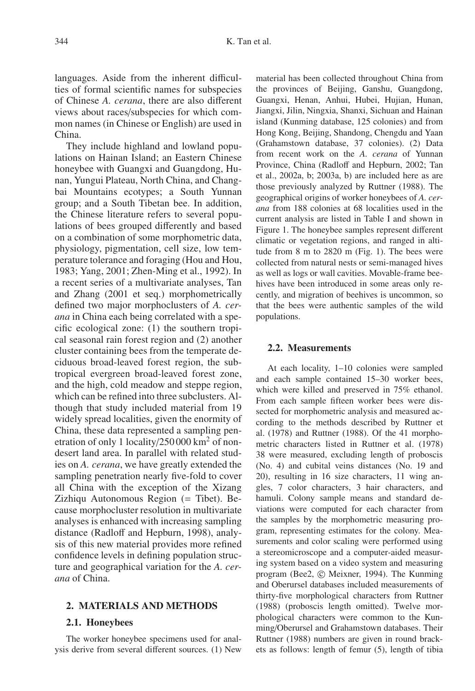languages. Aside from the inherent difficulties of formal scientific names for subspecies of Chinese *A. cerana*, there are also different views about races/subspecies for which common names (in Chinese or English) are used in China.

They include highland and lowland populations on Hainan Island; an Eastern Chinese honeybee with Guangxi and Guangdong, Hunan, Yungui Plateau, North China, and Changbai Mountains ecotypes; a South Yunnan group; and a South Tibetan bee. In addition, the Chinese literature refers to several populations of bees grouped differently and based on a combination of some morphometric data, physiology, pigmentation, cell size, low temperature tolerance and foraging (Hou and Hou, 1983; Yang, 2001; Zhen-Ming et al., 1992). In a recent series of a multivariate analyses, Tan and Zhang (2001 et seq.) morphometrically defined two major morphoclusters of *A. cerana* in China each being correlated with a specific ecological zone: (1) the southern tropical seasonal rain forest region and (2) another cluster containing bees from the temperate deciduous broad-leaved forest region, the subtropical evergreen broad-leaved forest zone, and the high, cold meadow and steppe region, which can be refined into three subclusters. Although that study included material from 19 widely spread localities, given the enormity of China, these data represented a sampling penetration of only 1 locality/250 000 km<sup>2</sup> of nondesert land area. In parallel with related studies on *A. cerana*, we have greatly extended the sampling penetration nearly five-fold to cover all China with the exception of the Xizang Zizhiqu Autonomous Region (= Tibet). Because morphocluster resolution in multivariate analyses is enhanced with increasing sampling distance (Radloff and Hepburn, 1998), analysis of this new material provides more refined confidence levels in defining population structure and geographical variation for the *A. cerana* of China.

# **2. MATERIALS AND METHODS**

#### **2.1. Honeybees**

The worker honeybee specimens used for analysis derive from several different sources. (1) New material has been collected throughout China from the provinces of Beijing, Ganshu, Guangdong, Guangxi, Henan, Anhui, Hubei, Hujian, Hunan, Jiangxi, Jilin, Ningxia, Shanxi, Sichuan and Hainan island (Kunming database, 125 colonies) and from Hong Kong, Beijing, Shandong, Chengdu and Yaan (Grahamstown database, 37 colonies). (2) Data from recent work on the *A. cerana* of Yunnan Province, China (Radloff and Hepburn, 2002; Tan et al., 2002a, b; 2003a, b) are included here as are those previously analyzed by Ruttner (1988). The geographical origins of worker honeybees of *A. cerana* from 188 colonies at 68 localities used in the current analysis are listed in Table I and shown in Figure 1. The honeybee samples represent different climatic or vegetation regions, and ranged in altitude from 8 m to 2820 m (Fig. 1). The bees were collected from natural nests or semi-managed hives as well as logs or wall cavities. Movable-frame beehives have been introduced in some areas only recently, and migration of beehives is uncommon, so that the bees were authentic samples of the wild populations.

#### **2.2. Measurements**

At each locality, 1–10 colonies were sampled and each sample contained 15–30 worker bees, which were killed and preserved in 75% ethanol. From each sample fifteen worker bees were dissected for morphometric analysis and measured according to the methods described by Ruttner et al. (1978) and Ruttner (1988). Of the 41 morphometric characters listed in Ruttner et al. (1978) 38 were measured, excluding length of proboscis (No. 4) and cubital veins distances (No. 19 and 20), resulting in 16 size characters, 11 wing angles, 7 color characters, 3 hair characters, and hamuli. Colony sample means and standard deviations were computed for each character from the samples by the morphometric measuring program, representing estimates for the colony. Measurements and color scaling were performed using a stereomicroscope and a computer-aided measuring system based on a video system and measuring program (Bee2, © Meixner, 1994). The Kunming and Oberursel databases included measurements of thirty-five morphological characters from Ruttner (1988) (proboscis length omitted). Twelve morphological characters were common to the Kunming/Oberursel and Grahamstown databases. Their Ruttner (1988) numbers are given in round brackets as follows: length of femur (5), length of tibia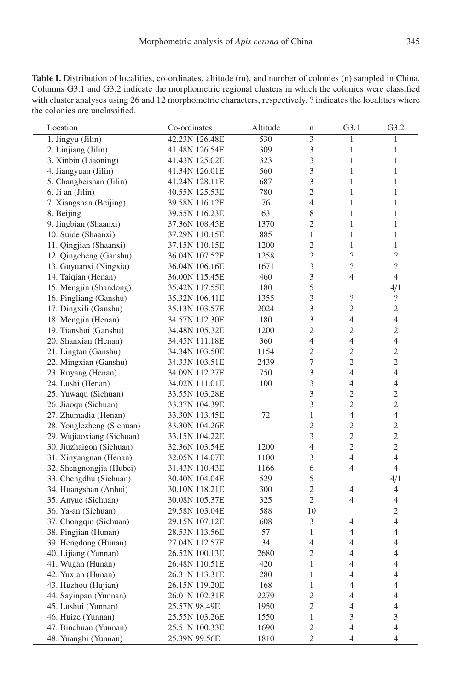**Table I.** Distribution of localities, co-ordinates, altitude (m), and number of colonies (n) sampled in China. Columns G3.1 and G3.2 indicate the morphometric regional clusters in which the colonies were classified with cluster analyses using 26 and 12 morphometric characters, respectively. ? indicates the localities where the colonies are unclassified.

| Location                  | Co-ordinates   | Altitude | n                         | G3.1                     | G3.2                     |
|---------------------------|----------------|----------|---------------------------|--------------------------|--------------------------|
| 1. Jingyu (Jilin)         | 42.23N 126.48E | 530      | $\overline{\overline{3}}$ | $\mathbf{1}$             | 1                        |
| 2. Linjiang (Jilin)       | 41.48N 126.54E | 309      | 3                         | $\mathbf{1}$             | 1                        |
| 3. Xinbin (Liaoning)      | 41.43N 125.02E | 323      | 3                         | $\mathbf{1}$             | $\mathbf{1}$             |
| 4. Jiangyuan (Jilin)      | 41.34N 126.01E | 560      | 3                         | $\mathbf{1}$             | 1                        |
| 5. Changbeishan (Jilin)   | 41.24N 128.11E | 687      | 3                         | $\mathbf{1}$             | $\mathbf{1}$             |
| 6. Ji an (Jilin)          | 40.55N 125.53E | 780      | $\overline{c}$            | $\mathbf{1}$             | $\mathbf{1}$             |
| 7. Xiangshan (Beijing)    | 39.58N 116.12E | 76       | $\overline{4}$            | $\mathbf{1}$             | $\mathbf{1}$             |
| 8. Beijing                | 39.55N 116.23E | 63       | 8                         | $\mathbf{1}$             | $\mathbf{1}$             |
| 9. Jingbian (Shaanxi)     | 37.36N 108.45E | 1370     | $\overline{c}$            | $\mathbf{1}$             | $\mathbf{1}$             |
| 10. Suide (Shaanxi)       | 37.29N 110.15E | 885      | $\mathbf{1}$              | $\mathbf{1}$             | $\mathbf{1}$             |
| 11. Qingjian (Shaanxi)    | 37.15N 110.15E | 1200     | $\overline{c}$            | $\mathbf{1}$             | $\mathbf{1}$             |
| 12. Qingcheng (Ganshu)    | 36.04N 107.52E | 1258     | $\overline{c}$            | $\overline{\mathcal{L}}$ | $\overline{\mathcal{L}}$ |
| 13. Guyuanxi (Ningxia)    | 36.04N 106.16E | 1671     | 3                         | $\overline{\phantom{a}}$ | $\overline{\cdot}$       |
| 14. Taiqian (Henan)       | 36.00N 115.45E | 460      | 3                         | $\overline{4}$           | $\overline{4}$           |
| 15. Mengjin (Shandong)    | 35.42N 117.55E | 180      | 5                         |                          | 4/1                      |
| 16. Pingliang (Ganshu)    | 35.32N 106.41E | 1355     | 3                         | $\overline{\mathcal{L}}$ | $\overline{\mathcal{L}}$ |
| 17. Dingxili (Ganshu)     | 35.13N 103.57E | 2024     | 3                         | $\overline{c}$           | $\mathfrak{2}$           |
| 18. Mengjin (Henan)       | 34.57N 112.30E | 180      | 3                         | 4                        | $\overline{4}$           |
| 19. Tianshui (Ganshu)     | 34.48N 105.32E | 1200     | $\overline{c}$            | $\mathfrak{2}$           | $\overline{c}$           |
| 20. Shanxian (Henan)      | 34.45N 111.18E | 360      | $\overline{4}$            | 4                        | $\overline{4}$           |
| 21. Lingtan (Ganshu)      | 34.34N 103.50E | 1154     | $\overline{c}$            | $\overline{2}$           | $\overline{c}$           |
| 22. Mingxian (Ganshu)     | 34.33N 103.51E | 2439     | 7                         | $\overline{c}$           | $\overline{c}$           |
| 23. Ruyang (Henan)        | 34.09N 112.27E | 750      | 3                         | $\overline{4}$           | $\overline{4}$           |
| 24. Lushi (Henan)         | 34.02N 111.01E | 100      | 3                         | $\overline{\mathcal{L}}$ | $\overline{4}$           |
| 25. Yuwaqu (Sichuan)      | 33.55N 103.28E |          | 3                         | $\overline{c}$           | $\mathfrak{2}$           |
| 26. Jiaoqu (Sichuan)      | 33.37N 104.39E |          | 3                         | $\overline{c}$           | $\overline{c}$           |
| 27. Zhumadia (Henan)      | 33.30N 113.45E | 72       | $\mathbf{1}$              | $\overline{\mathcal{L}}$ | $\overline{4}$           |
| 28. Yonglezheng (Sichuan) | 33.30N 104.26E |          | $\overline{c}$            | $\overline{c}$           | $\mathfrak{2}$           |
| 29. Wujiaoxiang (Sichuan) | 33.15N 104.22E |          | 3                         | $\overline{2}$           | $\overline{2}$           |
| 30. Jiuzhaigon (Sichuan)  | 32.36N 103.54E | 1200     | $\overline{4}$            | $\overline{c}$           | $\overline{c}$           |
| 31. Xinyangnan (Henan)    | 32.05N 114.07E | 1100     | 3                         | $\overline{4}$           | $\overline{4}$           |
| 32. Shengnongjia (Hubei)  | 31.43N 110.43E | 1166     | 6                         | $\overline{4}$           | $\overline{4}$           |
| 33. Chengdhu (Sichuan)    | 30.40N 104.04E | 529      | 5                         |                          | 4/1                      |
| 34. Huangshan (Anhui)     | 30.10N 118.21E | 300      | $\overline{c}$            | 4                        | $\overline{4}$           |
| 35. Anyue (Sichuan)       | 30.08N 105.37E | 325      | $\mathfrak{2}$            | 4                        | 4                        |
| 36. Ya-an (Sichuan)       | 29.58N 103.04E | 588      | 10                        |                          | $\mathfrak{2}$           |
| 37. Chongqin (Sichuan)    | 29.15N 107.12E | 608      | 3                         | 4                        | $\overline{4}$           |
| 38. Pingjian (Hunan)      | 28.53N 113.56E | 57       | $\mathbf{1}$              | 4                        | $\overline{4}$           |
| 39. Hengdong (Hunan)      | 27.04N 112.57E | 34       | $\overline{4}$            | $\overline{4}$           | $\overline{4}$           |
| 40. Lijiang (Yunnan)      | 26.52N 100.13E | 2680     | $\overline{c}$            | $\overline{4}$           | 4                        |
| 41. Wugan (Hunan)         | 26.48N 110.51E | 420      | $\mathbf{1}$              | $\overline{4}$           | $\overline{4}$           |
| 42. Yuxian (Hunan)        | 26.31N 113.31E | 280      | 1                         | 4                        | 4                        |
| 43. Huzhou (Hujian)       | 26.15N 119.20E | 168      | 1                         | $\overline{4}$           | $\overline{4}$           |
| 44. Sayinpan (Yunnan)     | 26.01N 102.31E | 2279     | $\overline{c}$            | $\overline{4}$           | $\overline{4}$           |
| 45. Lushui (Yunnan)       | 25.57N 98.49E  | 1950     | $\overline{c}$            | 4                        | $\overline{4}$           |
| 46. Huize (Yunnan)        | 25.55N 103.26E | 1550     | $\,1$                     | 3                        | 3                        |
| 47. Binchuan (Yunnan)     | 25.51N 100.33E | 1690     | $\overline{c}$            | $\overline{4}$           | $\overline{4}$           |
| 48. Yuangbi (Yunnan)      | 25.39N 99.56E  | 1810     | $\overline{c}$            | $\overline{4}$           | $\overline{4}$           |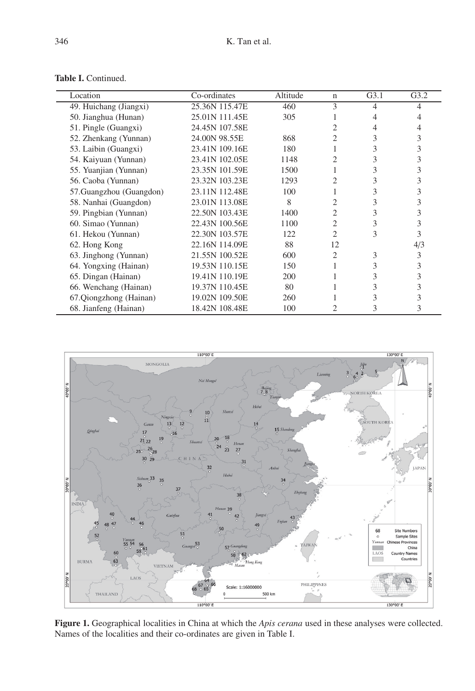| Location                 | Co-ordinates   | Altitude | $\mathbf n$    | G3.1 | G3.2 |
|--------------------------|----------------|----------|----------------|------|------|
| 49. Huichang (Jiangxi)   | 25.36N 115.47E | 460      | 3              | 4    | 4    |
| 50. Jianghua (Hunan)     | 25.01N 111.45E | 305      |                | 4    | 4    |
| 51. Pingle (Guangxi)     | 24.45N 107.58E |          | $\overline{c}$ | 4    | 4    |
| 52. Zhenkang (Yunnan)    | 24.00N 98.55E  | 868      | 2              | 3    | 3    |
| 53. Laibin (Guangxi)     | 23.41N 109.16E | 180      |                | 3    | 3    |
| 54. Kaiyuan (Yunnan)     | 23.41N 102.05E | 1148     | 2              | 3    | 3    |
| 55. Yuanjian (Yunnan)    | 23.35N 101.59E | 1500     |                | 3    | 3    |
| 56. Caoba (Yunnan)       | 23.32N 103.23E | 1293     | 2              | 3    | 3    |
| 57. Guangzhou (Guangdon) | 23.11N 112.48E | 100      |                | 3    | 3    |
| 58. Nanhai (Guangdon)    | 23.01N 113.08E | 8        | 2              | 3    | 3    |
| 59. Pingbian (Yunnan)    | 22.50N 103.43E | 1400     | $\overline{c}$ | 3    | 3    |
| 60. Simao (Yunnan)       | 22.43N 100.56E | 1100     | $\overline{c}$ | 3    | 3    |
| 61. Hekou (Yunnan)       | 22.30N 103.57E | 122      | $\overline{c}$ | 3    | 3    |
| 62. Hong Kong            | 22.16N 114.09E | 88       | 12             |      | 4/3  |
| 63. Jinghong (Yunnan)    | 21.55N 100.52E | 600      | $\overline{c}$ | 3    | 3    |
| 64. Yongxing (Hainan)    | 19.53N 110.15E | 150      |                | 3    | 3    |
| 65. Dingan (Hainan)      | 19.41N 110.19E | 200      |                | 3    | 3    |
| 66. Wenchang (Hainan)    | 19.37N 110.45E | 80       |                | 3    | 3    |
| 67.Qiongzhong (Hainan)   | 19.02N 109.50E | 260      |                | 3    | 3    |
| 68. Jianfeng (Hainan)    | 18.42N 108.48E | 100      |                | 3    | 3    |

**Table I.** Continued.



**Figure 1.** Geographical localities in China at which the *Apis cerana* used in these analyses were collected. Names of the localities and their co-ordinates are given in Table I.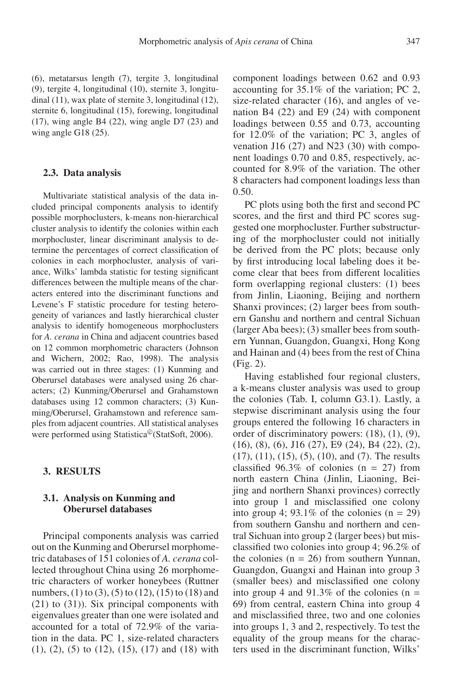(6), metatarsus length (7), tergite 3, longitudinal (9), tergite 4, longitudinal (10), sternite 3, longitudinal (11), wax plate of sternite 3, longitudinal (12), sternite 6, longitudinal (15), forewing, longitudinal (17), wing angle B4 (22), wing angle D7 (23) and wing angle G18 (25).

#### **2.3. Data analysis**

Multivariate statistical analysis of the data included principal components analysis to identify possible morphoclusters, k-means non-hierarchical cluster analysis to identify the colonies within each morphocluster, linear discriminant analysis to determine the percentages of correct classification of colonies in each morphocluster, analysis of variance, Wilks' lambda statistic for testing significant differences between the multiple means of the characters entered into the discriminant functions and Levene's F statistic procedure for testing heterogeneity of variances and lastly hierarchical cluster analysis to identify homogeneous morphoclusters for *A. cerana* in China and adjacent countries based on 12 common morphometric characters (Johnson and Wichern, 2002; Rao, 1998). The analysis was carried out in three stages: (1) Kunming and Oberursel databases were analysed using 26 characters; (2) Kunming/Oberursel and Grahamstown databases using 12 common characters; (3) Kunming/Oberursel, Grahamstown and reference samples from adjacent countries. All statistical analyses were performed using Statistica<sup>©</sup>(StatSoft, 2006).

### **3. RESULTS**

# **3.1. Analysis on Kunming and Oberursel databases**

Principal components analysis was carried out on the Kunming and Oberursel morphometric databases of 151 colonies of *A. cerana* collected throughout China using 26 morphometric characters of worker honeybees (Ruttner numbers, (1) to (3), (5) to (12), (15) to (18) and (21) to (31)). Six principal components with eigenvalues greater than one were isolated and accounted for a total of 72.9% of the variation in the data. PC 1, size-related characters (1), (2), (5) to (12), (15), (17) and (18) with component loadings between 0.62 and 0.93 accounting for 35.1% of the variation; PC 2, size-related character (16), and angles of venation B4 (22) and E9 (24) with component loadings between 0.55 and 0.73, accounting for 12.0% of the variation; PC 3, angles of venation J16 (27) and N23 (30) with component loadings 0.70 and 0.85, respectively, accounted for 8.9% of the variation. The other 8 characters had component loadings less than 0.50.

PC plots using both the first and second PC scores, and the first and third PC scores suggested one morphocluster. Further substructuring of the morphocluster could not initially be derived from the PC plots; because only by first introducing local labeling does it become clear that bees from different localities form overlapping regional clusters: (1) bees from Jinlin, Liaoning, Beijing and northern Shanxi provinces; (2) larger bees from southern Ganshu and northern and central Sichuan (larger Aba bees); (3) smaller bees from southern Yunnan, Guangdon, Guangxi, Hong Kong and Hainan and (4) bees from the rest of China (Fig. 2).

Having established four regional clusters, a k-means cluster analysis was used to group the colonies (Tab. I, column G3.1). Lastly, a stepwise discriminant analysis using the four groups entered the following 16 characters in order of discriminatory powers: (18), (1), (9), (16), (8), (6), J16 (27), E9 (24), B4 (22), (2), (17), (11), (15), (5), (10), and (7). The results classified  $96.3\%$  of colonies (n = 27) from north eastern China (Jinlin, Liaoning, Beijing and northern Shanxi provinces) correctly into group 1 and misclassified one colony into group 4; 93.1% of the colonies  $(n = 29)$ from southern Ganshu and northern and central Sichuan into group 2 (larger bees) but misclassified two colonies into group 4; 96.2% of the colonies ( $n = 26$ ) from southern Yunnan, Guangdon, Guangxi and Hainan into group 3 (smaller bees) and misclassified one colony into group 4 and  $91.3\%$  of the colonies (n = 69) from central, eastern China into group 4 and misclassified three, two and one colonies into groups 1, 3 and 2, respectively. To test the equality of the group means for the characters used in the discriminant function, Wilks'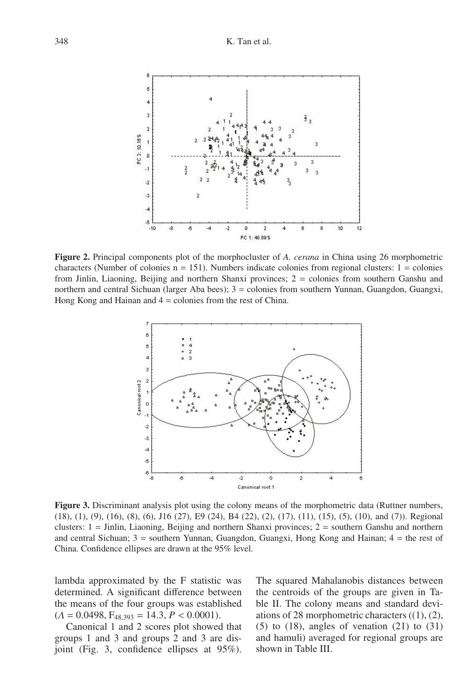

**Figure 2.** Principal components plot of the morphocluster of *A. cerana* in China using 26 morphometric characters (Number of colonies  $n = 151$ ). Numbers indicate colonies from regional clusters:  $1 =$  colonies from Jinlin, Liaoning, Beijing and northern Shanxi provinces; 2 = colonies from southern Ganshu and northern and central Sichuan (larger Aba bees); 3 = colonies from southern Yunnan, Guangdon, Guangxi, Hong Kong and Hainan and  $4 =$  colonies from the rest of China.



**Figure 3.** Discriminant analysis plot using the colony means of the morphometric data (Ruttner numbers, (18), (1), (9), (16), (8), (6), J16 (27), E9 (24), B4 (22), (2), (17), (11), (15), (5), (10), and (7)). Regional clusters: 1 = Jinlin, Liaoning, Beijing and northern Shanxi provinces; 2 = southern Ganshu and northern and central Sichuan; 3 = southern Yunnan, Guangdon, Guangxi, Hong Kong and Hainan; 4 = the rest of China. Confidence ellipses are drawn at the 95% level.

lambda approximated by the F statistic was determined. A significant difference between the means of the four groups was established  $(A = 0.0498, F<sub>48,393</sub> = 14.3, P < 0.0001).$ 

Canonical 1 and 2 scores plot showed that groups 1 and 3 and groups 2 and 3 are disjoint (Fig. 3, confidence ellipses at 95%).

The squared Mahalanobis distances between the centroids of the groups are given in Table II. The colony means and standard deviations of 28 morphometric characters  $((1), (2),$  $(5)$  to  $(18)$ , angles of venation  $(21)$  to  $(31)$ and hamuli) averaged for regional groups are shown in Table III.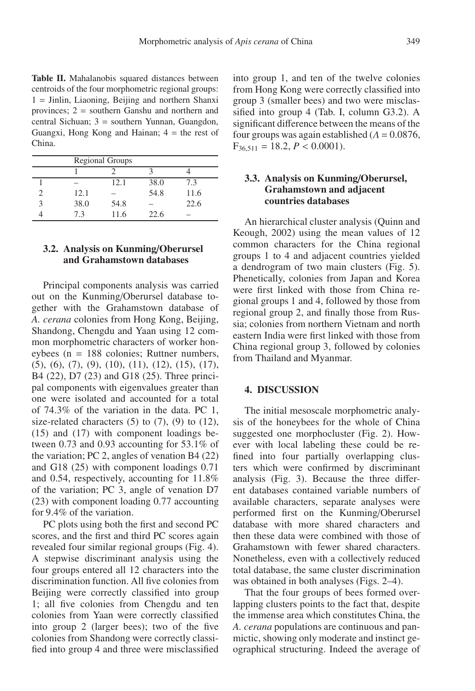**Table II.** Mahalanobis squared distances between centroids of the four morphometric regional groups:  $1 =$  Jinlin, Liaoning, Beijing and northern Shanxi provinces; 2 = southern Ganshu and northern and central Sichuan; 3 = southern Yunnan, Guangdon, Guangxi, Hong Kong and Hainan;  $4 =$  the rest of China.

| <b>Regional Groups</b> |      |      |      |  |
|------------------------|------|------|------|--|
|                        |      |      |      |  |
|                        | 12.1 | 38.0 | 7.3  |  |
| 12.1                   |      | 54.8 | 11.6 |  |
| 38.0                   | 54.8 |      | 22.6 |  |
| 73                     | 11.6 | 22.6 |      |  |

# **3.2. Analysis on Kunming**/**Oberursel and Grahamstown databases**

Principal components analysis was carried out on the Kunming/Oberursel database together with the Grahamstown database of *A. cerana* colonies from Hong Kong, Beijing, Shandong, Chengdu and Yaan using 12 common morphometric characters of worker honeybees (n = 188 colonies; Ruttner numbers,  $(5)$ ,  $(6)$ ,  $(7)$ ,  $(9)$ ,  $(10)$ ,  $(11)$ ,  $(12)$ ,  $(15)$ ,  $(17)$ , B4 (22), D7 (23) and G18 (25). Three principal components with eigenvalues greater than one were isolated and accounted for a total of 74.3% of the variation in the data. PC 1, size-related characters  $(5)$  to  $(7)$ ,  $(9)$  to  $(12)$ , (15) and (17) with component loadings between 0.73 and 0.93 accounting for 53.1% of the variation; PC 2, angles of venation B4 (22) and G18 (25) with component loadings 0.71 and 0.54, respectively, accounting for 11.8% of the variation; PC 3, angle of venation D7 (23) with component loading 0.77 accounting for 9.4% of the variation.

PC plots using both the first and second PC scores, and the first and third PC scores again revealed four similar regional groups (Fig. 4). A stepwise discriminant analysis using the four groups entered all 12 characters into the discrimination function. All five colonies from Beijing were correctly classified into group 1; all five colonies from Chengdu and ten colonies from Yaan were correctly classified into group 2 (larger bees); two of the five colonies from Shandong were correctly classified into group 4 and three were misclassified into group 1, and ten of the twelve colonies from Hong Kong were correctly classified into group 3 (smaller bees) and two were misclassified into group 4 (Tab. I, column G3.2). A significant difference between the means of the four groups was again established ( $\Lambda = 0.0876$ ,  $F_{36,511} = 18.2, P < 0.0001$ .

# **3.3. Analysis on Kunming**/**Oberursel, Grahamstown and adjacent countries databases**

An hierarchical cluster analysis (Quinn and Keough, 2002) using the mean values of 12 common characters for the China regional groups 1 to 4 and adjacent countries yielded a dendrogram of two main clusters (Fig. 5). Phenetically, colonies from Japan and Korea were first linked with those from China regional groups 1 and 4, followed by those from regional group 2, and finally those from Russia; colonies from northern Vietnam and north eastern India were first linked with those from China regional group 3, followed by colonies from Thailand and Myanmar.

### **4. DISCUSSION**

The initial mesoscale morphometric analysis of the honeybees for the whole of China suggested one morphocluster (Fig. 2). However with local labeling these could be refined into four partially overlapping clusters which were confirmed by discriminant analysis (Fig. 3). Because the three different databases contained variable numbers of available characters, separate analyses were performed first on the Kunming/Oberursel database with more shared characters and then these data were combined with those of Grahamstown with fewer shared characters. Nonetheless, even with a collectively reduced total database, the same cluster discrimination was obtained in both analyses (Figs. 2–4).

That the four groups of bees formed overlapping clusters points to the fact that, despite the immense area which constitutes China, the *A. cerana* populations are continuous and panmictic, showing only moderate and instinct geographical structuring. Indeed the average of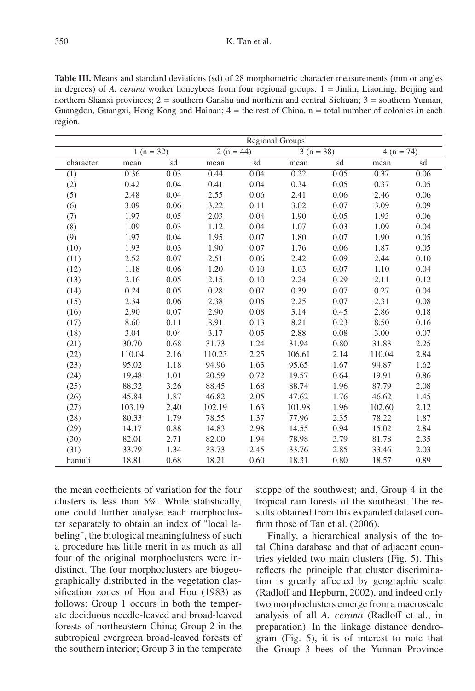**Table III.** Means and standard deviations (sd) of 28 morphometric character measurements (mm or angles in degrees) of *A. cerana* worker honeybees from four regional groups: 1 = Jinlin, Liaoning, Beijing and northern Shanxi provinces; 2 = southern Ganshu and northern and central Sichuan; 3 = southern Yunnan, Guangdon, Guangxi, Hong Kong and Hainan;  $4 =$  the rest of China.  $n =$  total number of colonies in each region.

|           | <b>Regional Groups</b> |      |             |      |             |      |             |      |
|-----------|------------------------|------|-------------|------|-------------|------|-------------|------|
|           | $1(n = 32)$            |      | $2(n = 44)$ |      | $3(n = 38)$ |      | $4(n = 74)$ |      |
| character | mean                   | sd   | mean        | sd   | mean        | sd   | mean        | sd   |
| (1)       | 0.36                   | 0.03 | 0.44        | 0.04 | 0.22        | 0.05 | 0.37        | 0.06 |
| (2)       | 0.42                   | 0.04 | 0.41        | 0.04 | 0.34        | 0.05 | 0.37        | 0.05 |
| (5)       | 2.48                   | 0.04 | 2.55        | 0.06 | 2.41        | 0.06 | 2.46        | 0.06 |
| (6)       | 3.09                   | 0.06 | 3.22        | 0.11 | 3.02        | 0.07 | 3.09        | 0.09 |
| (7)       | 1.97                   | 0.05 | 2.03        | 0.04 | 1.90        | 0.05 | 1.93        | 0.06 |
| (8)       | 1.09                   | 0.03 | 1.12        | 0.04 | 1.07        | 0.03 | 1.09        | 0.04 |
| (9)       | 1.97                   | 0.04 | 1.95        | 0.07 | 1.80        | 0.07 | 1.90        | 0.05 |
| (10)      | 1.93                   | 0.03 | 1.90        | 0.07 | 1.76        | 0.06 | 1.87        | 0.05 |
| (11)      | 2.52                   | 0.07 | 2.51        | 0.06 | 2.42        | 0.09 | 2.44        | 0.10 |
| (12)      | 1.18                   | 0.06 | 1.20        | 0.10 | 1.03        | 0.07 | 1.10        | 0.04 |
| (13)      | 2.16                   | 0.05 | 2.15        | 0.10 | 2.24        | 0.29 | 2.11        | 0.12 |
| (14)      | 0.24                   | 0.05 | 0.28        | 0.07 | 0.39        | 0.07 | 0.27        | 0.04 |
| (15)      | 2.34                   | 0.06 | 2.38        | 0.06 | 2.25        | 0.07 | 2.31        | 0.08 |
| (16)      | 2.90                   | 0.07 | 2.90        | 0.08 | 3.14        | 0.45 | 2.86        | 0.18 |
| (17)      | 8.60                   | 0.11 | 8.91        | 0.13 | 8.21        | 0.23 | 8.50        | 0.16 |
| (18)      | 3.04                   | 0.04 | 3.17        | 0.05 | 2.88        | 0.08 | 3.00        | 0.07 |
| (21)      | 30.70                  | 0.68 | 31.73       | 1.24 | 31.94       | 0.80 | 31.83       | 2.25 |
| (22)      | 110.04                 | 2.16 | 110.23      | 2.25 | 106.61      | 2.14 | 110.04      | 2.84 |
| (23)      | 95.02                  | 1.18 | 94.96       | 1.63 | 95.65       | 1.67 | 94.87       | 1.62 |
| (24)      | 19.48                  | 1.01 | 20.59       | 0.72 | 19.57       | 0.64 | 19.91       | 0.86 |
| (25)      | 88.32                  | 3.26 | 88.45       | 1.68 | 88.74       | 1.96 | 87.79       | 2.08 |
| (26)      | 45.84                  | 1.87 | 46.82       | 2.05 | 47.62       | 1.76 | 46.62       | 1.45 |
| (27)      | 103.19                 | 2.40 | 102.19      | 1.63 | 101.98      | 1.96 | 102.60      | 2.12 |
| (28)      | 80.33                  | 1.79 | 78.55       | 1.37 | 77.96       | 2.35 | 78.22       | 1.87 |
| (29)      | 14.17                  | 0.88 | 14.83       | 2.98 | 14.55       | 0.94 | 15.02       | 2.84 |
| (30)      | 82.01                  | 2.71 | 82.00       | 1.94 | 78.98       | 3.79 | 81.78       | 2.35 |
| (31)      | 33.79                  | 1.34 | 33.73       | 2.45 | 33.76       | 2.85 | 33.46       | 2.03 |
| hamuli    | 18.81                  | 0.68 | 18.21       | 0.60 | 18.31       | 0.80 | 18.57       | 0.89 |

the mean coefficients of variation for the four clusters is less than 5%. While statistically, one could further analyse each morphocluster separately to obtain an index of "local labeling", the biological meaningfulness of such a procedure has little merit in as much as all four of the original morphoclusters were indistinct. The four morphoclusters are biogeographically distributed in the vegetation classification zones of Hou and Hou (1983) as follows: Group 1 occurs in both the temperate deciduous needle-leaved and broad-leaved forests of northeastern China; Group 2 in the subtropical evergreen broad-leaved forests of the southern interior; Group 3 in the temperate steppe of the southwest; and, Group 4 in the tropical rain forests of the southeast. The results obtained from this expanded dataset confirm those of Tan et al. (2006).

Finally, a hierarchical analysis of the total China database and that of adjacent countries yielded two main clusters (Fig. 5). This reflects the principle that cluster discrimination is greatly affected by geographic scale (Radloff and Hepburn, 2002), and indeed only two morphoclusters emerge from a macroscale analysis of all *A. cerana* (Radloff et al., in preparation). In the linkage distance dendrogram (Fig. 5), it is of interest to note that the Group 3 bees of the Yunnan Province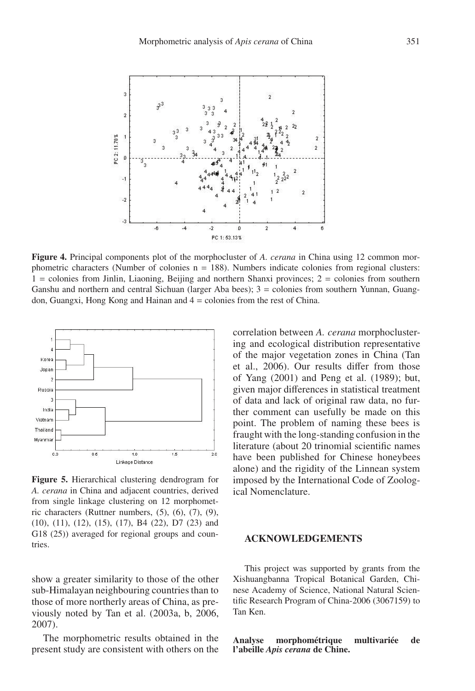

**Figure 4.** Principal components plot of the morphocluster of *A. cerana* in China using 12 common morphometric characters (Number of colonies  $n = 188$ ). Numbers indicate colonies from regional clusters:  $1 =$  colonies from Jinlin, Liaoning, Beijing and northern Shanxi provinces;  $2 =$  colonies from southern Ganshu and northern and central Sichuan (larger Aba bees); 3 = colonies from southern Yunnan, Guangdon, Guangxi, Hong Kong and Hainan and 4 = colonies from the rest of China.



**Figure 5.** Hierarchical clustering dendrogram for *A. cerana* in China and adjacent countries, derived from single linkage clustering on 12 morphometric characters (Ruttner numbers,  $(5)$ ,  $(6)$ ,  $(7)$ ,  $(9)$ , (10), (11), (12), (15), (17), B4 (22), D7 (23) and G18 (25)) averaged for regional groups and countries.

show a greater similarity to those of the other sub-Himalayan neighbouring countries than to those of more northerly areas of China, as previously noted by Tan et al. (2003a, b, 2006, 2007).

The morphometric results obtained in the present study are consistent with others on the correlation between *A. cerana* morphoclustering and ecological distribution representative of the major vegetation zones in China (Tan et al., 2006). Our results differ from those of Yang (2001) and Peng et al. (1989); but, given major differences in statistical treatment of data and lack of original raw data, no further comment can usefully be made on this point. The problem of naming these bees is fraught with the long-standing confusion in the literature (about 20 trinomial scientific names have been published for Chinese honeybees alone) and the rigidity of the Linnean system imposed by the International Code of Zoological Nomenclature.

#### **ACKNOWLEDGEMENTS**

This project was supported by grants from the Xishuangbanna Tropical Botanical Garden, Chinese Academy of Science, National Natural Scientific Research Program of China-2006 (3067159) to Tan Ken.

**Analyse morphométrique multivariée de l'abeille** *Apis cerana* **de Chine.**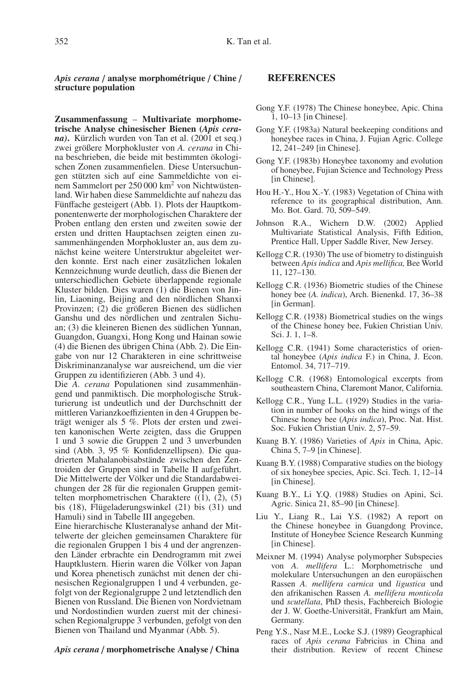*Apis cerana* / **analyse morphométrique** / **Chine** / **structure population**

**Zusammenfassung** – **Multivariate morphometrische Analyse chinesischer Bienen (***Apis cerana)***.** Kürzlich wurden von Tan et al. (2001 et seq.) zwei größere Morphokluster von *A. cerana* in China beschrieben, die beide mit bestimmten ökologischen Zonen zusammenfielen. Diese Untersuchungen stützten sich auf eine Sammeldichte von einem Sammelort per 250 000 km<sup>2</sup> von Nichtwüstenland. Wir haben diese Sammeldichte auf nahezu das Fünffache gesteigert (Abb. 1). Plots der Hauptkomponentenwerte der morphologischen Charaktere der Proben entlang den ersten und zweiten sowie der ersten und dritten Hauptachsen zeigten einen zusammenhängenden Morphokluster an, aus dem zunächst keine weitere Unterstruktur abgeleitet werden konnte. Erst nach einer zusätzlichen lokalen Kennzeichnung wurde deutlich, dass die Bienen der unterschiedlichen Gebiete überlappende regionale Kluster bilden. Dies waren (1) die Bienen von Jinlin, Liaoning, Beijing and den nördlichen Shanxi Provinzen; (2) die größeren Bienen des südlichen Ganshu und des nördlichen und zentralen Sichuan; (3) die kleineren Bienen des südlichen Yunnan, Guangdon, Guangxi, Hong Kong und Hainan sowie (4) die Bienen des übrigen China (Abb. 2). Die Eingabe von nur 12 Charakteren in eine schrittweise Diskriminanzanalyse war ausreichend, um die vier Gruppen zu identifizieren (Abb. 3 und 4).

Die *A. cerana* Populationen sind zusammenhängend und panmiktisch. Die morphologische Strukturierung ist undeutlich und der Durchschnitt der mittleren Varianzkoeffizienten in den 4 Gruppen beträgt weniger als 5 %. Plots der ersten und zweiten kanonischen Werte zeigten, dass die Gruppen 1 und 3 sowie die Gruppen 2 und 3 unverbunden sind (Abb. 3, 95 % Konfidenzellipsen). Die quadrierten Mahalanobisabstände zwischen den Zentroiden der Gruppen sind in Tabelle II aufgeführt. Die Mittelwerte der Völker und die Standardabweichungen der 28 für die regionalen Gruppen gemittelten morphometrischen Charaktere  $(1), (2), (5)$ bis (18), Flügeladerungswinkel (21) bis (31) und Hamuli) sind in Tabelle III angegeben.

Eine hierarchische Klusteranalyse anhand der Mittelwerte der gleichen gemeinsamen Charaktere für die regionalen Gruppen 1 bis 4 und der angrenzenden Länder erbrachte ein Dendrogramm mit zwei Hauptklustern. Hierin waren die Völker von Japan und Korea phenetisch zunächst mit denen der chinesischen Regionalgruppen 1 und 4 verbunden, gefolgt von der Regionalgruppe 2 und letztendlich den Bienen von Russland. Die Bienen von Nordvietnam und Nordostindien wurden zuerst mit der chinesischen Regionalgruppe 3 verbunden, gefolgt von den Bienen von Thailand und Myanmar (Abb. 5).

#### *Apis cerana* / **morphometrische Analyse** / **China**

#### **REFERENCES**

- Gong Y.F. (1978) The Chinese honeybee, Apic. China 1, 10–13 [in Chinese].
- Gong Y.F. (1983a) Natural beekeeping conditions and honeybee races in China, J. Fujian Agric. College 12, 241–249 [in Chinese].
- Gong Y.F. (1983b) Honeybee taxonomy and evolution of honeybee, Fujian Science and Technology Press [in Chinese].
- Hou H.-Y., Hou X.-Y. (1983) Vegetation of China with reference to its geographical distribution, Ann. Mo. Bot. Gard. 70, 509-549.
- Johnson R.A., Wichern D.W. (2002) Applied Multivariate Statistical Analysis, Fifth Edition, Prentice Hall, Upper Saddle River, New Jersey.
- Kellogg C.R. (1930) The use of biometry to distinguish between *Apis indica* and *Apis mellifica,* Bee World 11, 127–130.
- Kellogg C.R. (1936) Biometric studies of the Chinese honey bee (*A. indica*), Arch. Bienenkd. 17, 36–38 [in German].
- Kellogg C.R. (1938) Biometrical studies on the wings of the Chinese honey bee, Fukien Christian Univ. Sci. J. 1, 1–8.
- Kellogg C.R. (1941) Some characteristics of oriental honeybee (*Apis indica* F.) in China, J. Econ. Entomol. 34, 717–719.
- Kellogg C.R. (1968) Entomological excerpts from southeastern China, Claremont Manor, California.
- Kellogg C.R., Yung L.L. (1929) Studies in the variation in number of hooks on the hind wings of the Chinese honey bee (*Apis indica*), Proc. Nat. Hist. Soc. Fukien Christian Univ. 2, 57–59.
- Kuang B.Y. (1986) Varieties of *Apis* in China, Apic. China 5, 7–9 [in Chinese].
- Kuang B.Y. (1988) Comparative studies on the biology of six honeybee species, Apic. Sci. Tech. 1, 12–14 [in Chinese].
- Kuang B.Y., Li Y.Q. (1988) Studies on Apini, Sci. Agric. Sinica 21, 85–90 [in Chinese].
- Liu Y., Liang R., Lai Y.S. (1982) A report on the Chinese honeybee in Guangdong Province, Institute of Honeybee Science Research Kunming [in Chinese].
- Meixner M. (1994) Analyse polymorpher Subspecies von *A. mellifera* L.: Morphometrische und molekulare Untersuchungen an den europäischen Rassen *A. mellifera carnica* und *ligustica* und den afrikanischen Rassen *A. mellifera monticola* und *scutellata*, PhD thesis, Fachbereich Biologie der J. W. Goethe-Universität, Frankfurt am Main, Germany.
- Peng Y.S., Nasr M.E., Locke S.J. (1989) Geographical races of *Apis cerana* Fabricius in China and their distribution. Review of recent Chinese